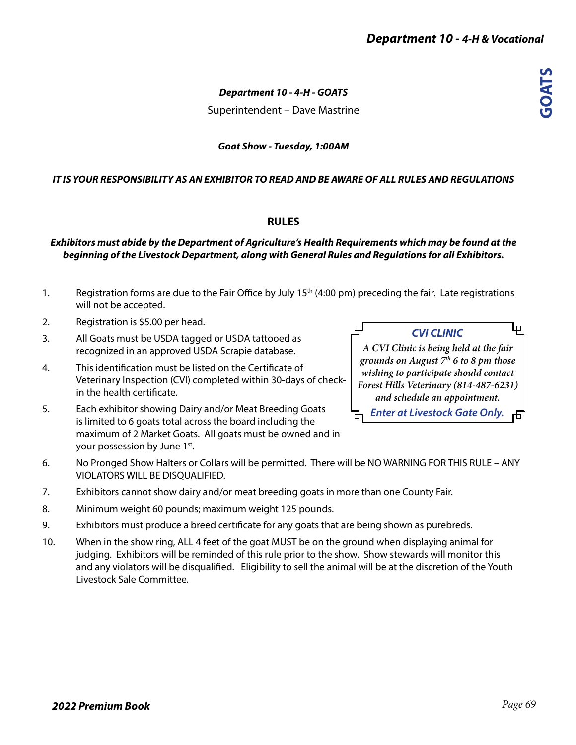لبها

# *Department 10 - 4-H - GOATS*

Superintendent – Dave Mastrine

# *Goat Show - Tuesday, 1:00AM*

# *IT IS YOUR RESPONSIBILITY AS AN EXHIBITOR TO READ AND BE AWARE OF ALL RULES AND REGULATIONS*

# **RULES**

#### *Exhibitors must abide by the Department of Agriculture's Health Requirements which may be found at the beginning of the Livestock Department, along with General Rules and Regulations for all Exhibitors.*

- 1. Registration forms are due to the Fair Office by July  $15<sup>th</sup>$  (4:00 pm) preceding the fair. Late registrations will not be accepted.
- 2. Registration is \$5.00 per head.
- 3. All Goats must be USDA tagged or USDA tattooed as recognized in an approved USDA Scrapie database.
- 4. This identification must be listed on the Certificate of Veterinary Inspection (CVI) completed within 30-days of checkin the health certificate.

5. Each exhibitor showing Dairy and/or Meat Breeding Goats is limited to 6 goats total across the board including the maximum of 2 Market Goats. All goats must be owned and in your possession by June 1<sup>st</sup>.

*CVI CLINIC*

௳

*A CVI Clinic is being held at the fair grounds on August 7th 6 to 8 pm those wishing to participate should contact Forest Hills Veterinary (814-487-6231) and schedule an appointment. Enter at Livestock Gate Only.* 

- 6. No Pronged Show Halters or Collars will be permitted. There will be NO WARNING FOR THIS RULE ANY VIOLATORS WILL BE DISQUALIFIED.
- 7. Exhibitors cannot show dairy and/or meat breeding goats in more than one County Fair.
- 8. Minimum weight 60 pounds; maximum weight 125 pounds.
- 9. Exhibitors must produce a breed certificate for any goats that are being shown as purebreds.
- 10. When in the show ring, ALL 4 feet of the goat MUST be on the ground when displaying animal for judging. Exhibitors will be reminded of this rule prior to the show. Show stewards will monitor this and any violators will be disqualified. Eligibility to sell the animal will be at the discretion of the Youth Livestock Sale Committee.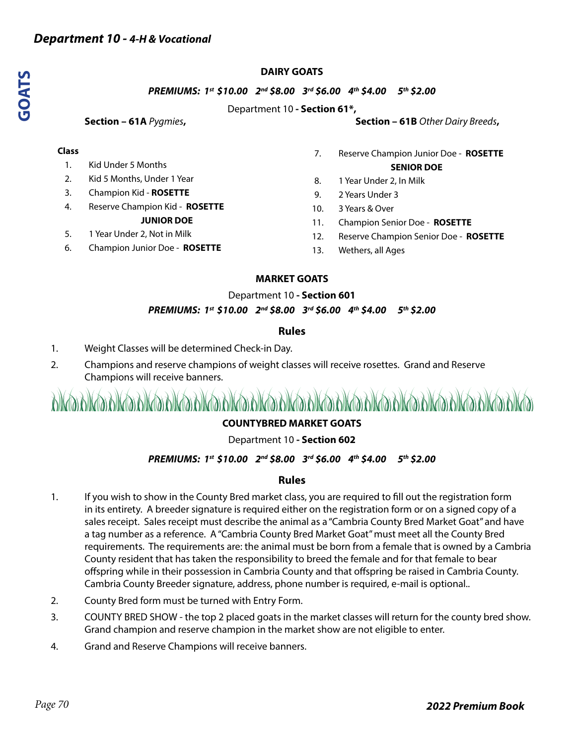# **DAIRY GOATS**

#### *PREMIUMS: 1st \$10.00 2nd \$8.00 3rd \$6.00 4th \$4.00 5th \$2.00*

#### Department 10 **- Section 61\*,**

#### **Class**

- 1. Kid Under 5 Months
- 2. Kid 5 Months, Under 1 Year
- 3. Champion Kid **ROSETTE**
- 4. Reserve Champion Kid **ROSETTE**

#### **JUNIOR DOE**

- 5. 1 Year Under 2, Not in Milk
- 6. Champion Junior Doe **ROSETTE**

#### **Section – 61A** *Pygmies*, Section – 61B *Other Dairy Breeds*,

- 7. Reserve Champion Junior Doe **ROSETTE SENIOR DOE**
- 8. 1 Year Under 2, In Milk
- 9. 2 Years Under 3
- 10. 3 Years & Over
- 11. Champion Senior Doe **ROSETTE**
- 12. Reserve Champion Senior Doe **ROSETTE**
- 13. Wethers, all Ages

# **MARKET GOATS**

#### Department 10 **- Section 601**

#### *PREMIUMS: 1st \$10.00 2nd \$8.00 3rd \$6.00 4th \$4.00 5th \$2.00*

#### **Rules**

- 1. Weight Classes will be determined Check-in Day.
- 2. Champions and reserve champions of weight classes will receive rosettes. Grand and Reserve Champions will receive banners.

# 

# **COUNTYBRED MARKET GOATS**

# Department 10 **- Section 602**

# *PREMIUMS: 1st \$10.00 2nd \$8.00 3rd \$6.00 4th \$4.00 5th \$2.00*

# **Rules**

- 1. If you wish to show in the County Bred market class, you are required to fill out the registration form in its entirety. A breeder signature is required either on the registration form or on a signed copy of a sales receipt. Sales receipt must describe the animal as a "Cambria County Bred Market Goat" and have a tag number as a reference. A "Cambria County Bred Market Goat" must meet all the County Bred requirements. The requirements are: the animal must be born from a female that is owned by a Cambria County resident that has taken the responsibility to breed the female and for that female to bear offspring while in their possession in Cambria County and that offspring be raised in Cambria County. Cambria County Breeder signature, address, phone number is required, e-mail is optional..
- 2. County Bred form must be turned with Entry Form.
- 3. COUNTY BRED SHOW the top 2 placed goats in the market classes will return for the county bred show. Grand champion and reserve champion in the market show are not eligible to enter.
- 4. Grand and Reserve Champions will receive banners.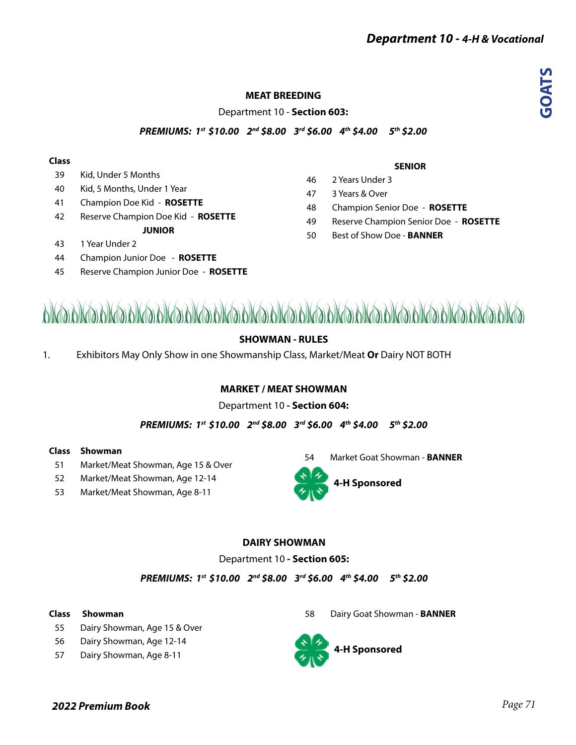# **GOATS**

# **MEAT BREEDING**

Department 10 - **Section 603:**

*PREMIUMS: 1st \$10.00 2nd \$8.00 3rd \$6.00 4th \$4.00 5th \$2.00* 

#### **Class**

- 39 Kid, Under 5 Months
- 40 Kid, 5 Months, Under 1 Year
- 41 Champion Doe Kid **ROSETTE**
- 42 Reserve Champion Doe Kid **ROSETTE**
	- **JUNIOR**
- 43 1 Year Under 2
- 44 Champion Junior Doe **ROSETTE**
- 45 Reserve Champion Junior Doe **ROSETTE**

#### **SENIOR**

- 46 2 Years Under 3 47 3 Years & Over
- 48 Champion Senior Doe **ROSETTE**
- 49 Reserve Champion Senior Doe **ROSETTE**
- 50 Best of Show Doe **BANNER**



# **SHOWMAN - RULES**

1. Exhibitors May Only Show in one Showmanship Class, Market/Meat **Or** Dairy NOT BOTH

# **MARKET / MEAT SHOWMAN**

# Department 10 **- Section 604:**

*PREMIUMS: 1st \$10.00 2nd \$8.00 3rd \$6.00 4th \$4.00 5th \$2.00* 

#### **Class Showman**

- 51 Market/Meat Showman, Age 15 & Over
- 52 Market/Meat Showman, Age 12-14
- 53 Market/Meat Showman, Age 8-11





# **DAIRY SHOWMAN**

#### Department 10 **- Section 605:**

*PREMIUMS: 1st \$10.00 2nd \$8.00 3rd \$6.00 4th \$4.00 5th \$2.00* 

#### **Class Showman**

- 55 Dairy Showman, Age 15 & Over
- 56 Dairy Showman, Age 12-14
- 57 Dairy Showman, Age 8-11

58 Dairy Goat Showman - **BANNER**